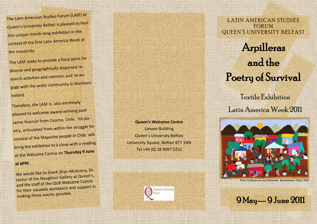The Latin American Studies Forum (LASF) at Queen's University Belfast is pleased to host this unique month -long exhibition in the context of the first Latin America Week at the University.

The LASF seeks to provide a focal point for diverse and geographically dispersed research activities and interests and to engage with the wider community in Northern Ireland.

Therefore, the LASF is also extremely pleased to welcome awar<sup>d</sup> -winning poe<sup>t</sup> Jaime Huenún from Osorno, Chile. His poetry, articulated from within the struggle for survival of the Mapuche people in Chile will bring the exhibition to a close with a reading at the Welcome Centre on **Thursday 9 June** 

## **at 6PM**.

We would like to thank Shan McAnena, Di rector of the Naughton Gallery at Queen's,<br>and the staff at the QUB Welcome Centre for their valuable assistance and support in<br>making these events possible.

**Queen's Welcome Centre** Lanyon Building Queen's University Belfast University Square, Belfast BT7 1NN Tel +44 (0) 28 9097 5252



LATIN AMERICAN STUDIES **FORUM** QUEEN'S UNIVERSITY BELFAST

## Arpilleras and the Poetry of Survival

Textile Exhibition Latin America Week 2011



*Vida Cotidiana en una Población*. Anonymous, Chile 1983.

## 9 May — 9 June 2011